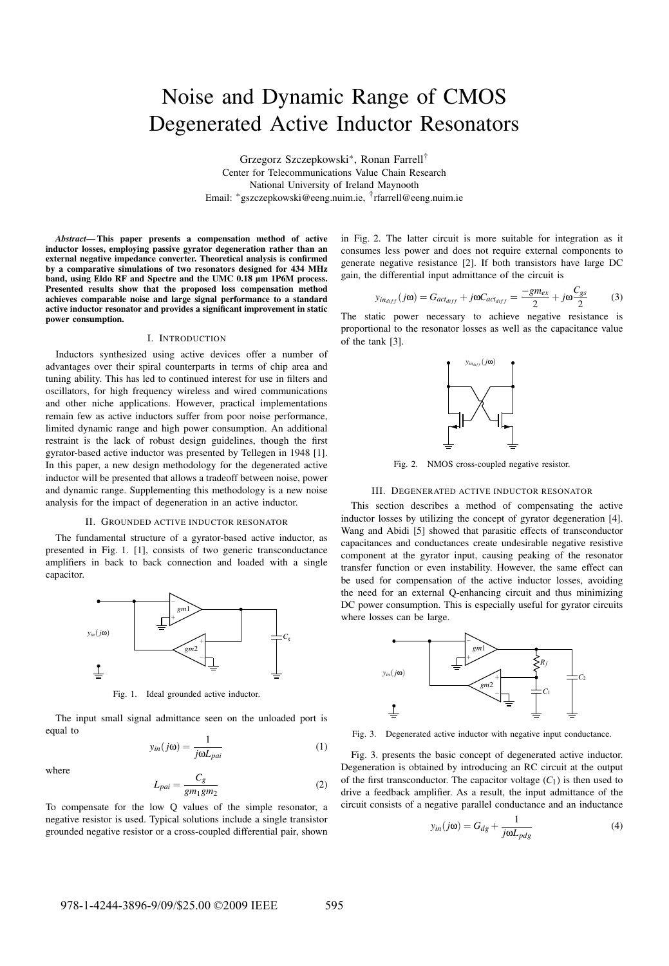# Noise and Dynamic Range of CMOS Degenerated Active Inductor Resonators

Grzegorz Szczepkowski<sup>∗</sup> , Ronan Farrell† Center for Telecommunications Value Chain Research National University of Ireland Maynooth Email: <sup>∗</sup>gszczepkowski@eeng.nuim.ie, † rfarrell@eeng.nuim.ie

*Abstract*— This paper presents a compensation method of active inductor losses, employing passive gyrator degeneration rather than an external negative impedance converter. Theoretical analysis is confirmed by a comparative simulations of two resonators designed for 434 MHz band, using Eldo RF and Spectre and the UMC 0.18 µm 1P6M process. Presented results show that the proposed loss compensation method achieves comparable noise and large signal performance to a standard active inductor resonator and provides a significant improvement in static power consumption.

## I. INTRODUCTION

Inductors synthesized using active devices offer a number of advantages over their spiral counterparts in terms of chip area and tuning ability. This has led to continued interest for use in filters and oscillators, for high frequency wireless and wired communications and other niche applications. However, practical implementations remain few as active inductors suffer from poor noise performance, limited dynamic range and high power consumption. An additional restraint is the lack of robust design guidelines, though the first gyrator-based active inductor was presented by Tellegen in 1948 [1]. In this paper, a new design methodology for the degenerated active inductor will be presented that allows a tradeoff between noise, power and dynamic range. Supplementing this methodology is a new noise analysis for the impact of degeneration in an active inductor.

# II. GROUNDED ACTIVE INDUCTOR RESONATOR

The fundamental structure of a gyrator-based active inductor, as presented in Fig. 1. [1], consists of two generic transconductance amplifiers in back to back connection and loaded with a single capacitor.



Fig. 1. Ideal grounded active inductor.

The input small signal admittance seen on the unloaded port is equal to

$$
y_{in}(j\omega) = \frac{1}{j\omega L_{pai}}
$$
 (1)

where

$$
L_{pai} = \frac{C_g}{gm_1gm_2} \tag{2}
$$

To compensate for the low Q values of the simple resonator, a negative resistor is used. Typical solutions include a single transistor grounded negative resistor or a cross-coupled differential pair, shown

in Fig. 2. The latter circuit is more suitable for integration as it consumes less power and does not require external components to generate negative resistance [2]. If both transistors have large DC gain, the differential input admittance of the circuit is

$$
y_{in_{diff}}(j\omega) = G_{act_{diff}} + j\omega C_{act_{diff}} = \frac{-gm_{ex}}{2} + j\omega \frac{C_{gs}}{2}
$$
 (3)

The static power necessary to achieve negative resistance is proportional to the resonator losses as well as the capacitance value of the tank [3].



Fig. 2. NMOS cross-coupled negative resistor.

#### III. DEGENERATED ACTIVE INDUCTOR RESONATOR

This section describes a method of compensating the active inductor losses by utilizing the concept of gyrator degeneration [4]. Wang and Abidi [5] showed that parasitic effects of transconductor capacitances and conductances create undesirable negative resistive component at the gyrator input, causing peaking of the resonator transfer function or even instability. However, the same effect can be used for compensation of the active inductor losses, avoiding the need for an external Q-enhancing circuit and thus minimizing DC power consumption. This is especially useful for gyrator circuits where losses can be large.



Fig. 3. Degenerated active inductor with negative input conductance.

Fig. 3. presents the basic concept of degenerated active inductor. Degeneration is obtained by introducing an RC circuit at the output of the first transconductor. The capacitor voltage  $(C_1)$  is then used to drive a feedback amplifier. As a result, the input admittance of the circuit consists of a negative parallel conductance and an inductance

$$
y_{in}(j\omega) = G_{dg} + \frac{1}{j\omega L_{pdg}}
$$
 (4)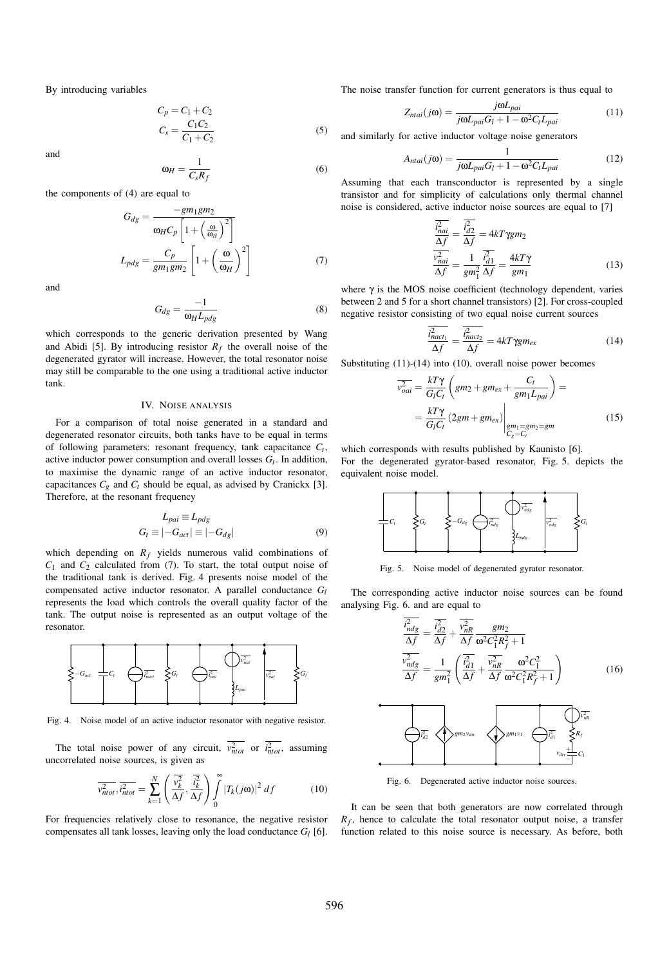By introducing variables

$$
C_p = C_1 + C_2
$$
  
\n
$$
C_s = \frac{C_1 C_2}{C_1 + C_2}
$$
\n(5)

and

 $\omega_H = \frac{1}{C}$  $C_s R_f$ 

(6)

the components of (4) are equal to

$$
G_{dg} = \frac{-gm_1gm_2}{\omega_H C_p \left[1 + \left(\frac{\omega}{\omega_H}\right)^2\right]}
$$

$$
L_{pdg} = \frac{C_p}{gm_1gm_2} \left[1 + \left(\frac{\omega}{\omega_H}\right)^2\right]
$$
(7)

and

$$
G_{dg} = \frac{-1}{\omega_H L_{pdg}}\tag{8}
$$

which corresponds to the generic derivation presented by Wang and Abidi [5]. By introducing resistor  $R_f$  the overall noise of the degenerated gyrator will increase. However, the total resonator noise may still be comparable to the one using a traditional active inductor tank.

### IV. NOISE ANALYSIS

For a comparison of total noise generated in a standard and degenerated resonator circuits, both tanks have to be equal in terms of following parameters: resonant frequency, tank capacitance *Ct* , active inductor power consumption and overall losses *Gt* . In addition, to maximise the dynamic range of an active inductor resonator, capacitances  $C_g$  and  $C_t$  should be equal, as advised by Cranickx [3]. Therefore, at the resonant frequency

$$
L_{pai} \equiv L_{pdg}
$$
  
\n
$$
G_t \equiv |-G_{act}| \equiv |-G_{dg}|
$$
\n(9)

which depending on  $R_f$  yields numerous valid combinations of *C*<sup>1</sup> and *C*<sup>2</sup> calculated from (7). To start, the total output noise of the traditional tank is derived. Fig. 4 presents noise model of the compensated active inductor resonator. A parallel conductance *G<sup>l</sup>* represents the load which controls the overall quality factor of the tank. The output noise is represented as an output voltage of the resonator.



Fig. 4. Noise model of an active inductor resonator with negative resistor.

The total noise power of any circuit,  $v_{ntot}^2$  or  $i_{ntot}^2$ , assuming uncorrelated noise sources, is given as

$$
\overline{v_{ntot}^2}, \overline{i_{ntot}^2} = \sum_{k=1}^N \left( \frac{\overline{v_k^2}}{\Delta f}, \frac{\overline{i_k^2}}{\Delta f} \right) \int_0^\infty |T_k(j\omega)|^2 \, df \tag{10}
$$

For frequencies relatively close to resonance, the negative resistor compensates all tank losses, leaving only the load conductance  $G_l$  [6].

The noise transfer function for current generators is thus equal to

$$
Z_{ntai}(j\omega) = \frac{j\omega L_{pai}}{j\omega L_{pai} G_l + 1 - \omega^2 C_l L_{pai}} \tag{11}
$$

and similarly for active inductor voltage noise generators

$$
A_{ntai}(j\omega) = \frac{1}{j\omega L_{pai}G_l + 1 - \omega^2 C_t L_{pai}}\tag{12}
$$

Assuming that each transconductor is represented by a single transistor and for simplicity of calculations only thermal channel noise is considered, active inductor noise sources are equal to [7]

$$
\frac{\overline{i_{nai}^2}}{\Delta f} = \frac{\overline{i_{d2}^2}}{\Delta f} = 4kT\gamma g m_2
$$
\n
$$
\frac{\overline{v_{nai}^2}}{\Delta f} = \frac{1}{gm_1^2} \frac{\overline{i_{d1}^2}}{\Delta f} = \frac{4kT\gamma}{gm_1}
$$
\n(13)

where  $\gamma$  is the MOS noise coefficient (technology dependent, varies between 2 and 5 for a short channel transistors) [2]. For cross-coupled negative resistor consisting of two equal noise current sources

$$
\frac{\overline{i_{nact_1}^2}}{\Delta f} = \frac{\overline{i_{nact_2}^2}}{\Delta f} = 4kT\gamma g m_{ex}
$$
\n(14)

Substituting (11)-(14) into (10), overall noise power becomes

$$
\overline{v_{oai}^2} = \frac{kT\gamma}{G_lC_t} \left( gm_2 + gm_{ex} + \frac{C_t}{gm_1L_{pai}} \right) =
$$
\n
$$
= \frac{kT\gamma}{G_lC_t} \left( 2gm + gm_{ex} \right) \Big|_{\substack{gm_1 = gm_2 = gm\\C_s = C_t}} \tag{15}
$$

which corresponds with results published by Kaunisto [6]. For the degenerated gyrator-based resonator, Fig. 5. depicts the equivalent noise model.



Fig. 5. Noise model of degenerated gyrator resonator.

The corresponding active inductor noise sources can be found analysing Fig. 6. and are equal to

$$
\frac{\overline{i_{ndg}^2}}{\Delta f} = \frac{\overline{i_{d2}^2}}{\Delta f} + \frac{\overline{v_{nR}^2}}{\Delta f} \frac{gm_2}{\omega^2 C_1^2 R_f^2 + 1}
$$
\n
$$
\frac{\overline{v_{ndg}^2}}{\Delta f} = \frac{1}{gm_1^2} \left( \frac{\overline{i_{d1}^2}}{\Delta f} + \frac{\overline{v_{nR}^2}}{\Delta f} \frac{\omega^2 C_1^2}{\omega^2 C_1^2 R_f^2 + 1} \right)
$$
\n(16)



Fig. 6. Degenerated active inductor noise sources.

It can be seen that both generators are now correlated through  $R_f$ , hence to calculate the total resonator output noise, a transfer function related to this noise source is necessary. As before, both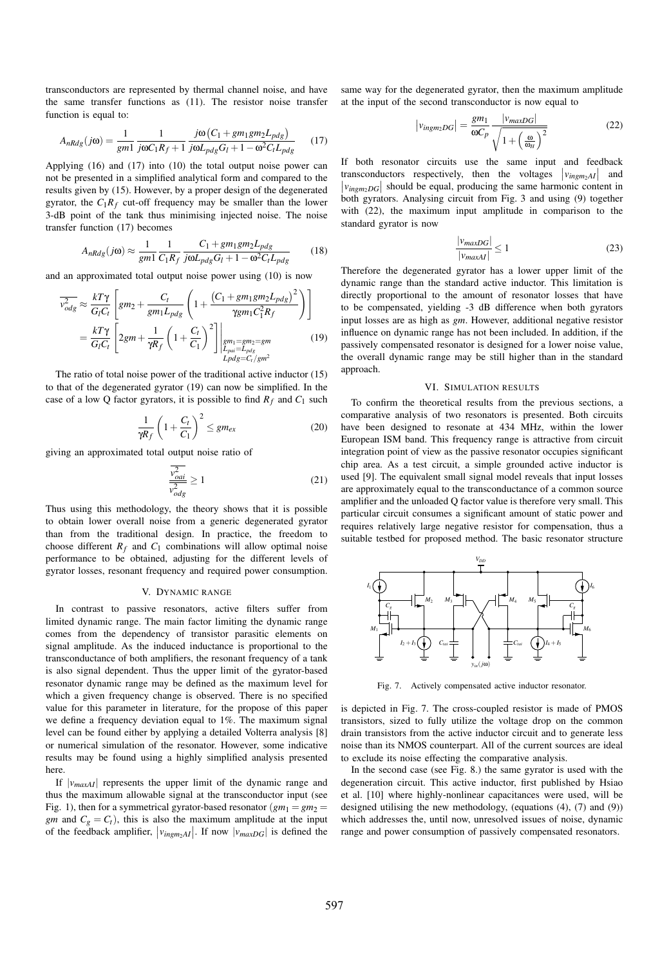transconductors are represented by thermal channel noise, and have the same transfer functions as (11). The resistor noise transfer function is equal to:

$$
A_{nRdg}(j\omega) = \frac{1}{gm1} \frac{1}{j\omega C_1 R_f + 1} \frac{j\omega (C_1 + gm_1 gm_2 L_{pdg})}{j\omega L_{pdg} G_I + 1 - \omega^2 C_t L_{pdg}}
$$
(17)

Applying (16) and (17) into (10) the total output noise power can not be presented in a simplified analytical form and compared to the results given by (15). However, by a proper design of the degenerated gyrator, the  $C_1R_f$  cut-off frequency may be smaller than the lower 3-dB point of the tank thus minimising injected noise. The noise transfer function (17) becomes

$$
A_{nRdg}(j\omega) \approx \frac{1}{gm1} \frac{1}{C_1R_f} \frac{C_1 + gm_1gm_2L_{pdg}}{j\omega L_{pdg}G_l + 1 - \omega^2 C_lL_{pdg}}
$$
(18)

and an approximated total output noise power using (10) is now

$$
\overline{v_{odg}^2} \approx \frac{kT\gamma}{G_lC_t} \left[ gm_2 + \frac{C_t}{gm_1L_{pdg}} \left( 1 + \frac{\left( C_1 + gm_1gm_2L_{pdg} \right)^2}{\gamma gm_1C_1^2R_f} \right) \right]
$$
\n
$$
= \frac{kT\gamma}{G_lC_t} \left[ 2gm + \frac{1}{\gamma R_f} \left( 1 + \frac{C_t}{C_1} \right)^2 \right] \Big|_{\substack{gm_1 = gm_2 = gm \\ L_{pdg} = C_t/gm^2}}^{m_1 = gm_2L_{pdg}} \tag{19}
$$

The ratio of total noise power of the traditional active inductor (15) to that of the degenerated gyrator (19) can now be simplified. In the case of a low Q factor gyrators, it is possible to find  $R_f$  and  $C_1$  such

$$
\frac{1}{\gamma R_f} \left( 1 + \frac{C_t}{C_1} \right)^2 \leq g m_{ex} \tag{20}
$$

giving an approximated total output noise ratio of

$$
\frac{v_{\text{oa}i}^2}{v_{\text{od}g}^2} \ge 1\tag{21}
$$

Thus using this methodology, the theory shows that it is possible to obtain lower overall noise from a generic degenerated gyrator than from the traditional design. In practice, the freedom to choose different  $R_f$  and  $C_1$  combinations will allow optimal noise performance to be obtained, adjusting for the different levels of gyrator losses, resonant frequency and required power consumption.

#### V. DYNAMIC RANGE

In contrast to passive resonators, active filters suffer from limited dynamic range. The main factor limiting the dynamic range comes from the dependency of transistor parasitic elements on signal amplitude. As the induced inductance is proportional to the transconductance of both amplifiers, the resonant frequency of a tank is also signal dependent. Thus the upper limit of the gyrator-based resonator dynamic range may be defined as the maximum level for which a given frequency change is observed. There is no specified value for this parameter in literature, for the propose of this paper we define a frequency deviation equal to 1%. The maximum signal level can be found either by applying a detailed Volterra analysis [8] or numerical simulation of the resonator. However, some indicative results may be found using a highly simplified analysis presented here.

If  $|v_{maxAI}|$  represents the upper limit of the dynamic range and thus the maximum allowable signal at the transconductor input (see Fig. 1), then for a symmetrical gyrator-based resonator  $(gm_1 = gm_2 =$ *gm* and  $C_g = C_t$ , this is also the maximum amplitude at the input of the feedback amplifier,  $|v_{imgm_2AI}|$ . If now  $|v_{maxDG}|$  is defined the

same way for the degenerated gyrator, then the maximum amplitude at the input of the second transconductor is now equal to

$$
|v_{imgm_2DG}| = \frac{gm_1}{\omega C_p} \frac{|v_{maxDG}|}{\sqrt{1 + \left(\frac{\omega}{\omega_H}\right)^2}}
$$
(22)

If both resonator circuits use the same input and feedback transconductors respectively, then the voltages  $|v_{ingm_2}A|$  and  $|v_{ingm_2DG}|$  should be equal, producing the same harmonic content in both gyrators. Analysing circuit from Fig. 3 and using (9) together with (22), the maximum input amplitude in comparison to the standard gyrator is now

$$
\frac{|v_{maxDG}|}{|v_{maxAI}|} \le 1\tag{23}
$$

Therefore the degenerated gyrator has a lower upper limit of the dynamic range than the standard active inductor. This limitation is directly proportional to the amount of resonator losses that have to be compensated, yielding -3 dB difference when both gyrators input losses are as high as *gm*. However, additional negative resistor influence on dynamic range has not been included. In addition, if the passively compensated resonator is designed for a lower noise value, the overall dynamic range may be still higher than in the standard approach.

#### VI. SIMULATION RESULTS

To confirm the theoretical results from the previous sections, a comparative analysis of two resonators is presented. Both circuits have been designed to resonate at 434 MHz, within the lower European ISM band. This frequency range is attractive from circuit integration point of view as the passive resonator occupies significant chip area. As a test circuit, a simple grounded active inductor is used [9]. The equivalent small signal model reveals that input losses are approximately equal to the transconductance of a common source amplifier and the unloaded Q factor value is therefore very small. This particular circuit consumes a significant amount of static power and requires relatively large negative resistor for compensation, thus a suitable testbed for proposed method. The basic resonator structure



Fig. 7. Actively compensated active inductor resonator.

is depicted in Fig. 7. The cross-coupled resistor is made of PMOS transistors, sized to fully utilize the voltage drop on the common drain transistors from the active inductor circuit and to generate less noise than its NMOS counterpart. All of the current sources are ideal to exclude its noise effecting the comparative analysis.

In the second case (see Fig. 8.) the same gyrator is used with the degeneration circuit. This active inductor, first published by Hsiao et al. [10] where highly-nonlinear capacitances were used, will be designed utilising the new methodology, (equations (4), (7) and (9)) which addresses the, until now, unresolved issues of noise, dynamic range and power consumption of passively compensated resonators.